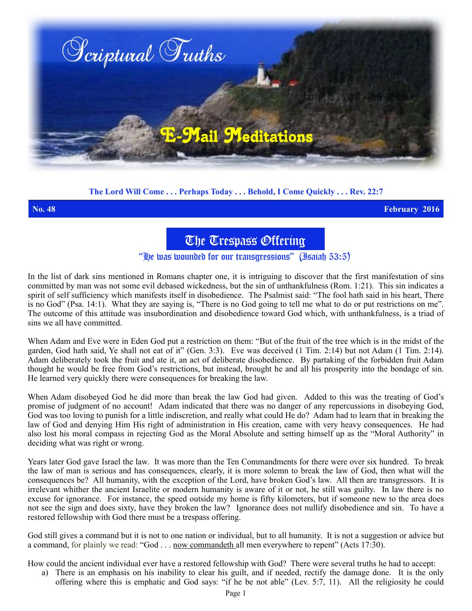

## **The Lord Will Come . . . Perhaps Today . . . Behold, I Come Quickly . . . Rev. 22:7**

**No. 48 February 2016**

The Trespass Offering

"He was wounded for our transgressions" (Isaiah 53:5)

In the list of dark sins mentioned in Romans chapter one, it is intriguing to discover that the first manifestation of sins committed by man was not some evil debased wickedness, but the sin of unthankfulness (Rom. 1:21). This sin indicates a spirit of self sufficiency which manifests itself in disobedience. The Psalmist said: "The fool hath said in his heart, There is no God" (Psa. 14:1). What they are saying is, "There is no God going to tell me what to do or put restrictions on me". The outcome of this attitude was insubordination and disobedience toward God which, with unthankfulness, is a triad of sins we all have committed.

When Adam and Eve were in Eden God put a restriction on them: "But of the fruit of the tree which is in the midst of the garden, God hath said, Ye shall not eat of it" (Gen. 3:3). Eve was deceived (1 Tim. 2:14) but not Adam (1 Tim. 2:14). Adam deliberately took the fruit and ate it, an act of deliberate disobedience. By partaking of the forbidden fruit Adam thought he would be free from God's restrictions, but instead, brought he and all his prosperity into the bondage of sin. He learned very quickly there were consequences for breaking the law.

When Adam disobeyed God he did more than break the law God had given. Added to this was the treating of God's promise of judgment of no account! Adam indicated that there was no danger of any repercussions in disobeying God, God was too loving to punish for a little indiscretion, and really what could He do? Adam had to learn that in breaking the law of God and denying Him His right of administration in His creation, came with very heavy consequences. He had also lost his moral compass in rejecting God as the Moral Absolute and setting himself up as the "Moral Authority" in deciding what was right or wrong.

Years later God gave Israel the law. It was more than the Ten Commandments for there were over six hundred. To break the law of man is serious and has consequences, clearly, it is more solemn to break the law of God, then what will the consequences be? All humanity, with the exception of the Lord, have broken God's law. All then are transgressors. It is irrelevant whither the ancient Israelite or modern humanity is aware of it or not, he still was guilty. In law there is no excuse for ignorance. For instance, the speed outside my home is fifty kilometers, but if someone new to the area does not see the sign and does sixty, have they broken the law? Ignorance does not nullify disobedience and sin. To have a restored fellowship with God there must be a trespass offering.

God still gives a command but it is not to one nation or individual, but to all humanity. It is not a suggestion or advice but a command, for plainly we read: "God . . . now commandeth all men everywhere to repent" (Acts 17:30).

How could the ancient individual ever have a restored fellowship with God? There were several truths he had to accept:

a) There is an emphasis on his inability to clear his guilt, and if needed, rectify the damage done. It is the only offering where this is emphatic and God says: "if he be not able" (Lev. 5:7, 11). All the religiosity he could